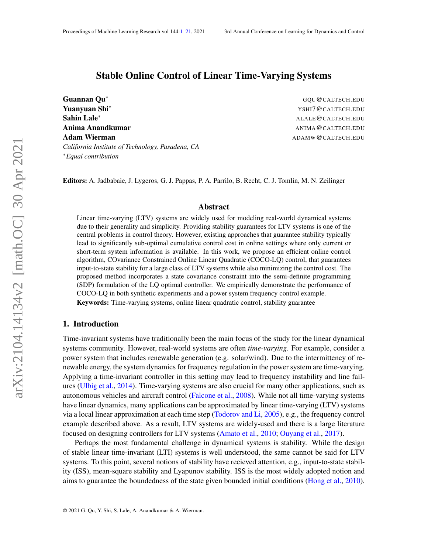# <span id="page-0-0"></span>Stable Online Control of Linear Time-Varying Systems

Guannan Qu<sup>∗</sup> GQU@CALTECH.EDU **Yuanyuan Shi**\* The Communication of the Communication of the VSHI7@CALTECH.EDU Sahin Lale<sup>∗</sup> ALALE@CALTECH.EDU Anima Anandkumar Anima Anand Barat and Anima Anima Anima Anima Anima Anima Anima Anima Anima Anima Anima Anima Adam Wierman ADAMW@CALTECH.EDU *California Institute of Technology, Pasadena, CA* <sup>∗</sup>*Equal contribution*

Editors: A. Jadbabaie, J. Lygeros, G. J. Pappas, P. A. Parrilo, B. Recht, C. J. Tomlin, M. N. Zeilinger

## Abstract

Linear time-varying (LTV) systems are widely used for modeling real-world dynamical systems due to their generality and simplicity. Providing stability guarantees for LTV systems is one of the central problems in control theory. However, existing approaches that guarantee stability typically lead to significantly sub-optimal cumulative control cost in online settings where only current or short-term system information is available. In this work, we propose an efficient online control algorithm, COvariance Constrained Online Linear Quadratic (COCO-LQ) control, that guarantees input-to-state stability for a large class of LTV systems while also minimizing the control cost. The proposed method incorporates a state covariance constraint into the semi-definite programming (SDP) formulation of the LQ optimal controller. We empirically demonstrate the performance of COCO-LQ in both synthetic experiments and a power system frequency control example.

Keywords: Time-varying systems, online linear quadratic control, stability guarantee

## 1. Introduction

Time-invariant systems have traditionally been the main focus of the study for the linear dynamical systems community. However, real-world systems are often *time-varying.* For example, consider a power system that includes renewable generation (e.g. solar/wind). Due to the intermittency of renewable energy, the system dynamics for frequency regulation in the power system are time-varying. Applying a time-invariant controller in this setting may lead to frequency instability and line failures [\(Ulbig et al.,](#page-11-0) [2014\)](#page-11-0). Time-varying systems are also crucial for many other applications, such as autonomous vehicles and aircraft control [\(Falcone et al.,](#page-10-0) [2008\)](#page-10-0). While not all time-varying systems have linear dynamics, many applications can be approximated by linear time-varying (LTV) systems via a local linear approximation at each time step [\(Todorov and Li,](#page-11-1) [2005\)](#page-11-1), e.g., the frequency control example described above. As a result, LTV systems are widely-used and there is a large literature focused on designing controllers for LTV systems [\(Amato et al.,](#page-10-1) [2010;](#page-10-1) [Ouyang et al.,](#page-11-2) [2017\)](#page-11-2).

Perhaps the most fundamental challenge in dynamical systems is stability. While the design of stable linear time-invariant (LTI) systems is well understood, the same cannot be said for LTV systems. To this point, several notions of stability have recieved attention, e.g., input-to-state stability (ISS), mean-square stability and Lyapunov stability. ISS is the most widely adopted notion and aims to guarantee the boundedness of the state given bounded initial conditions [\(Hong et al.,](#page-10-2) [2010\)](#page-10-2).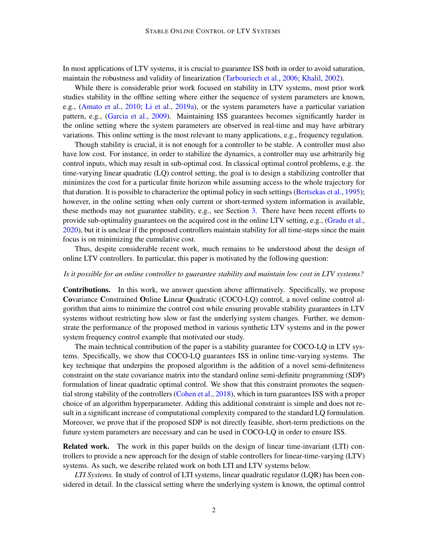In most applications of LTV systems, it is crucial to guarantee ISS both in order to avoid saturation, maintain the robustness and validity of linearization [\(Tarbouriech et al.,](#page-11-3) [2006;](#page-11-3) [Khalil,](#page-11-4) [2002\)](#page-11-4).

While there is considerable prior work focused on stability in LTV systems, most prior work studies stability in the offline setting where either the sequence of system parameters are known, e.g., [\(Amato et al.,](#page-10-1) [2010;](#page-10-1) [Li et al.,](#page-11-5) [2019a\)](#page-11-5), or the system parameters have a particular variation pattern, e.g., [\(Garcia et al.,](#page-10-3) [2009\)](#page-10-3). Maintaining ISS guarantees becomes significantly harder in the online setting where the system parameters are observed in real-time and may have arbitrary variations. This online setting is the most relevant to many applications, e.g., frequency regulation.

Though stability is crucial, it is not enough for a controller to be stable. A controller must also have low cost. For instance, in order to stabilize the dynamics, a controller may use arbitrarily big control inputs, which may result in sub-optimal cost. In classical optimal control problems, e.g. the time-varying linear quadratic (LQ) control setting, the goal is to design a stabilizing controller that minimizes the cost for a particular finite horizon while assuming access to the whole trajectory for that duration. It is possible to characterize the optimal policy in such settings [\(Bertsekas et al.,](#page-10-4) [1995\)](#page-10-4); however, in the online setting when only current or short-termed system information is available, these methods may not guarantee stability, e.g., see Section [3.](#page-3-0) There have been recent efforts to provide sub-optimality guarantees on the acquired cost in the online LTV setting, e.g., [\(Gradu et al.,](#page-10-5) [2020\)](#page-10-5), but it is unclear if the proposed controllers maintain stability for all time-steps since the main focus is on minimizing the cumulative cost.

Thus, despite considerable recent work, much remains to be understood about the design of online LTV controllers. In particular, this paper is motivated by the following question:

## *Is it possible for an online controller to guarantee stability and maintain low cost in LTV systems?*

Contributions. In this work, we answer question above affirmatively. Specifically, we propose Covariance Constrained Online Linear Quadratic (COCO-LQ) control, a novel online control algorithm that aims to minimize the control cost while ensuring provable stability guarantees in LTV systems without restricting how slow or fast the underlying system changes. Further, we demonstrate the performance of the proposed method in various synthetic LTV systems and in the power system frequency control example that motivated our study.

The main technical contribution of the paper is a stability guarantee for COCO-LQ in LTV systems. Specifically, we show that COCO-LQ guarantees ISS in online time-varying systems. The key technique that underpins the proposed algorithm is the addition of a novel semi-definiteness constraint on the state covariance matrix into the standard online semi-definite programming (SDP) formulation of linear quadratic optimal control. We show that this constraint promotes the sequential strong stability of the controllers [\(Cohen et al.,](#page-10-6) [2018\)](#page-10-6), which in turn guarantees ISS with a proper choice of an algorithm hyperparameter. Adding this additional constraint is simple and does not result in a significant increase of computational complexity compared to the standard LQ formulation. Moreover, we prove that if the proposed SDP is not directly feasible, short-term predictions on the future system parameters are necessary and can be used in COCO-LQ in order to ensure ISS.

Related work. The work in this paper builds on the design of linear time-invariant (LTI) controllers to provide a new approach for the design of stable controllers for linear-time-varying (LTV) systems. As such, we describe related work on both LTI and LTV systems below.

*LTI Systems.* In study of control of LTI systems, linear quadratic regulator (LQR) has been considered in detail. In the classical setting where the underlying system is known, the optimal control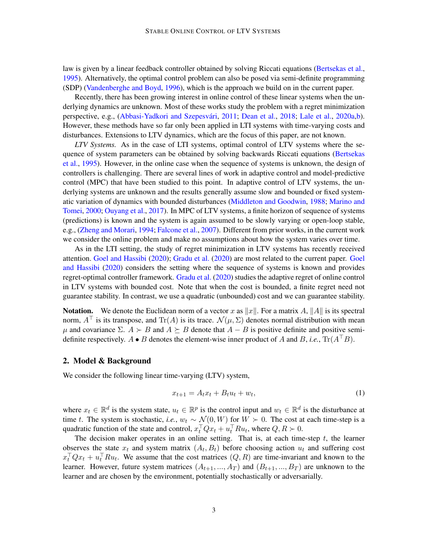law is given by a linear feedback controller obtained by solving Riccati equations [\(Bertsekas et al.,](#page-10-4) [1995\)](#page-10-4). Alternatively, the optimal control problem can also be posed via semi-definite programming (SDP) [\(Vandenberghe and Boyd,](#page-11-6) [1996\)](#page-11-6), which is the approach we build on in the current paper.

Recently, there has been growing interest in online control of these linear systems when the underlying dynamics are unknown. Most of these works study the problem with a regret minimization perspective, e.g., (Abbasi-Yadkori and Szepesvári, [2011;](#page-10-7) [Dean et al.,](#page-10-8) [2018;](#page-10-8) [Lale et al.,](#page-11-7) [2020a](#page-11-7)[,b\)](#page-11-8). However, these methods have so far only been applied in LTI systems with time-varying costs and disturbances. Extensions to LTV dynamics, which are the focus of this paper, are not known.

*LTV Systems.* As in the case of LTI systems, optimal control of LTV systems where the sequence of system parameters can be obtained by solving backwards Riccati equations [\(Bertsekas](#page-10-4) [et al.,](#page-10-4) [1995\)](#page-10-4). However, in the online case when the sequence of systems is unknown, the design of controllers is challenging. There are several lines of work in adaptive control and model-predictive control (MPC) that have been studied to this point. In adaptive control of LTV systems, the underlying systems are unknown and the results generally assume slow and bounded or fixed systematic variation of dynamics with bounded disturbances [\(Middleton and Goodwin,](#page-11-9) [1988;](#page-11-9) [Marino and](#page-11-10) [Tomei,](#page-11-10) [2000;](#page-11-10) [Ouyang et al.,](#page-11-2) [2017\)](#page-11-2). In MPC of LTV systems, a finite horizon of sequence of systems (predictions) is known and the system is again assumed to be slowly varying or open-loop stable, e.g., [\(Zheng and Morari,](#page-11-11) [1994;](#page-11-11) [Falcone et al.,](#page-10-9) [2007\)](#page-10-9). Different from prior works, in the current work we consider the online problem and make no assumptions about how the system varies over time.

As in the LTI setting, the study of regret minimization in LTV systems has recently received attention. [Goel and Hassibi](#page-10-10) [\(2020\)](#page-10-10); [Gradu et al.](#page-10-5) [\(2020\)](#page-10-5) are most related to the current paper. [Goel](#page-10-10) [and Hassibi](#page-10-10) [\(2020\)](#page-10-10) considers the setting where the sequence of systems is known and provides regret-optimal controller framework. [Gradu et al.](#page-10-5) [\(2020\)](#page-10-5) studies the adaptive regret of online control in LTV systems with bounded cost. Note that when the cost is bounded, a finite regret need not guarantee stability. In contrast, we use a quadratic (unbounded) cost and we can guarantee stability.

**Notation.** We denote the Euclidean norm of a vector x as  $||x||$ . For a matrix A,  $||A||$  is its spectral norm,  $A^{\top}$  is its transpose, and Tr(A) is its trace.  $\mathcal{N}(\mu, \Sigma)$  denotes normal distribution with mean  $\mu$  and covariance  $\Sigma$ .  $A \succ B$  and  $A \succ B$  denote that  $A - B$  is positive definite and positive semidefinite respectively.  $A \bullet B$  denotes the element-wise inner product of A and B, *i.e.*,  $\text{Tr}(A^{\top}B)$ .

## 2. Model & Background

We consider the following linear time-varying (LTV) system,

$$
x_{t+1} = A_t x_t + B_t u_t + w_t, \tag{1}
$$

where  $x_t \in \mathbb{R}^d$  is the system state,  $u_t \in \mathbb{R}^p$  is the control input and  $w_t \in \mathbb{R}^d$  is the disturbance at time t. The system is stochastic, *i.e.*,  $w_t \sim \mathcal{N}(0, W)$  for  $W \succ 0$ . The cost at each time-step is a quadratic function of the state and control,  $x_t^\top Q x_t + u_t^\top R u_t$ , where  $Q, R \succ 0$ .

The decision maker operates in an online setting. That is, at each time-step  $t$ , the learner observes the state  $x_t$  and system matrix  $(A_t, B_t)$  before choosing action  $u_t$  and suffering cost  $x_t^\top Q x_t + u_t^\top R u_t$ . We assume that the cost matrices  $(Q, R)$  are time-invariant and known to the learner. However, future system matrices  $(A_{t+1},...,A_T)$  and  $(B_{t+1},...,B_T)$  are unknown to the learner and are chosen by the environment, potentially stochastically or adversarially.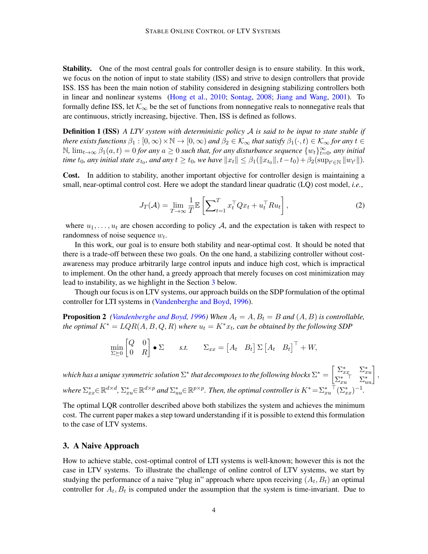Stability. One of the most central goals for controller design is to ensure stability. In this work, we focus on the notion of input to state stability (ISS) and strive to design controllers that provide ISS. ISS has been the main notion of stability considered in designing stabilizing controllers both in linear and nonlinear systems [\(Hong et al.,](#page-10-2) [2010;](#page-10-2) [Sontag,](#page-11-12) [2008;](#page-11-12) [Jiang and Wang,](#page-10-11) [2001\)](#page-10-11). To formally define ISS, let  $K_{\infty}$  be the set of functions from nonnegative reals to nonnegative reals that are continuous, strictly increasing, bijective. Then, ISS is defined as follows.

Definition 1 (ISS) *A LTV system with deterministic policy* A *is said to be input to state stable if there exists functions*  $\beta_1 : [0, \infty) \times \mathbb{N} \to [0, \infty)$  *and*  $\beta_2 \in \mathcal{K}_{\infty}$  *that satisfy*  $\beta_1(\cdot, t) \in \mathcal{K}_{\infty}$  *for any*  $t \in$ N,  $\lim_{t\to\infty}$   $\beta_1(a,t) = 0$  *for any*  $a ≥ 0$  *such that, for any disturbance sequence*  $\{w_t\}_{t=0}^{\infty}$ *, any initial time*  $t_0$ *, any initial state*  $x_{t_0}$ *, and any*  $t \ge t_0$ *, we have*  $||x_t|| \le \beta_1(||x_{t_0}||, t-t_0) + \beta_2(\sup_{t' \in \mathbb{N}} ||w_{t'}||)$ *.* 

Cost. In addition to stability, another important objective for controller design is maintaining a small, near-optimal control cost. Here we adopt the standard linear quadratic (LQ) cost model, *i.e.*,

<span id="page-3-1"></span>
$$
J_T(\mathcal{A}) = \lim_{T \to \infty} \frac{1}{T} \mathbb{E} \left[ \sum_{t=1}^T x_t^\top Q x_t + u_t^\top R u_t \right],\tag{2}
$$

where  $u_1, \ldots, u_t$  are chosen according to policy A, and the expectation is taken with respect to randomness of noise sequence  $w_t$ .

In this work, our goal is to ensure both stability and near-optimal cost. It should be noted that there is a trade-off between these two goals. On the one hand, a stabilizing controller without costawareness may produce arbitrarily large control inputs and induce high cost, which is impractical to implement. On the other hand, a greedy approach that merely focuses on cost minimization may lead to instability, as we highlight in the Section [3](#page-3-0) below.

Though our focus is on LTV systems, our approach builds on the SDP formulation of the optimal controller for LTI systems in [\(Vandenberghe and Boyd,](#page-11-6) [1996\)](#page-11-6).

**Proposition 2** *[\(Vandenberghe and Boyd,](#page-11-6) [1996\)](#page-11-6)* When  $A_t = A$ ,  $B_t = B$  and  $(A, B)$  *is controllable, the optimal*  $K^* = LQR(A, B, Q, R)$  where  $u_t = K^*x_t$ , can be obtained by the following SDP

$$
\min_{\Sigma \succeq 0} \begin{bmatrix} Q & 0 \\ 0 & R \end{bmatrix} \bullet \Sigma \qquad s.t. \qquad \Sigma_{xx} = \begin{bmatrix} A_t & B_t \end{bmatrix} \Sigma \begin{bmatrix} A_t & B_t \end{bmatrix}^\top + W,
$$

which has a unique symmetric solution  $\Sigma^*$  that decomposes to the following blocks  $\Sigma^* = \begin{bmatrix} \Sigma^* & \Sigma^*_{x,y} \ \Sigma^* & -\Sigma^* \end{bmatrix}$  $\begin{bmatrix} \sum_{xx}^{*} & \sum_{xu}^{*} \\ \sum_{xu}^{*} & \sum_{uu}^{*} \end{bmatrix}$ where  $\Sigma_{xx}^* \in \mathbb{R}^{d \times d}$ ,  $\Sigma_{xu}^* \in \mathbb{R}^{d \times p}$  and  $\Sigma_{uu}^* \in \mathbb{R}^{p \times p}$ . Then, the optimal controller is  $K^* = \Sigma_{xu}^*$ <sup> $\top (\Sigma_{xx}^*)^{-1}$ .</sup>

The optimal LQR controller described above both stabilizes the system and achieves the minimum cost. The current paper makes a step toward understanding if it is possible to extend this formulation to the case of LTV systems.

# <span id="page-3-0"></span>3. A Naive Approach

How to achieve stable, cost-optimal control of LTI systems is well-known; however this is not the case in LTV systems. To illustrate the challenge of online control of LTV systems, we start by studying the performance of a naive "plug in" approach where upon receiving  $(A_t, B_t)$  an optimal controller for  $A_t$ ,  $B_t$  is computed under the assumption that the system is time-invariant. Due to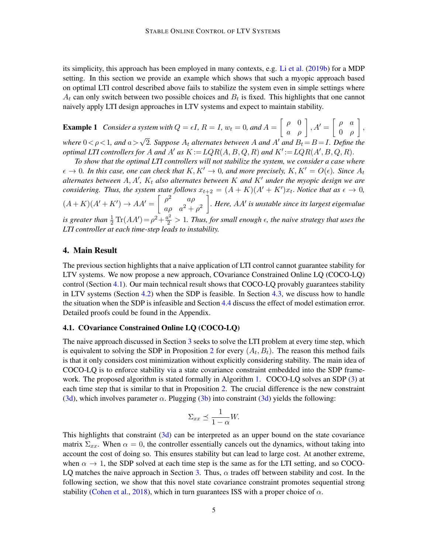its simplicity, this approach has been employed in many contexts, e.g. [Li et al.](#page-11-13) [\(2019b\)](#page-11-13) for a MDP setting. In this section we provide an example which shows that such a myopic approach based on optimal LTI control described above fails to stabilize the system even in simple settings where  $A_t$  can only switch between two possible choices and  $B_t$  is fixed. This highlights that one cannot naively apply LTI design approaches in LTV systems and expect to maintain stability.

<span id="page-4-1"></span>**Example 1** Consider a system with  $Q = \epsilon I$ ,  $R = I$ ,  $w_t = 0$ , and  $A = \begin{bmatrix} \rho & 0 \\ a & \rho \end{bmatrix}$ ,  $A' = \begin{bmatrix} \rho & a \\ 0 & \rho \end{bmatrix}$ 0 ρ , *where*  $0 < \rho < 1$ *, and*  $a > \sqrt{2}$ *. Suppose*  $A_t$  *alternates between* A *and*  $A'$  *and*  $B_t = B = I$ *. Define the optimal LTI controllers for* A *and* A' *as*  $K := LQR(A, B, Q, R)$  *and*  $K' := LQR(A', B, Q, R)$ .

*To show that the optimal LTI controllers will not stabilize the system, we consider a case where*  $\epsilon \to 0$ . In this case, one can check that  $K, K' \to 0$ , and more precisely,  $K, K' = O(\epsilon)$ . Since  $A_t$ *alternates between*  $A, A', K_t$  also alternates between  $K$  and  $K'$  under the myopic design we are *considering. Thus, the system state follows*  $x_{t+2} = (A + K)(A' + K')x_t$ *. Notice that as*  $\epsilon \to 0$ *,*  $(A+K)(A'+K') \rightarrow AA' = \begin{bmatrix} \rho^2 & a\rho \end{bmatrix}$  $a\rho$   $a^2 + \rho^2$ *. Here, AA' is unstable since its largest eigenvalue* is greater than  $\frac{1}{2} \text{Tr}(AA') = \rho^2 + \frac{a^2}{2} > 1$ . Thus, for small enough  $\epsilon$ , the naive strategy that uses the *LTI controller at each time-step leads to instability.*

## 4. Main Result

The previous section highlights that a naive application of LTI control cannot guarantee stability for LTV systems. We now propose a new approach, COvariance Constrained Online LQ (COCO-LQ) control (Section [4.1\)](#page-4-0). Our main technical result shows that COCO-LQ provably guarantees stability in LTV systems (Section [4.2\)](#page-5-0) when the SDP is feasible. In Section [4.3,](#page-6-0) we discuss how to handle the situation when the SDP is infeasible and Section [4.4](#page-7-0) discuss the effect of model estimation error. Detailed proofs could be found in the Appendix.

## <span id="page-4-0"></span>4.1. COvariance Constrained Online LQ (COCO-LQ)

The naive approach discussed in Section [3](#page-3-0) seeks to solve the LTI problem at every time step, which is equivalent to solving the SDP in Proposition [2](#page-3-1) for every  $(A_t, B_t)$ . The reason this method fails is that it only considers cost minimization without explicitly considering stability. The main idea of COCO-LQ is to enforce stability via a state covariance constraint embedded into the SDP frame-work. The proposed algorithm is stated formally in Algorithm [1.](#page-5-1) COCO-LQ solves an SDP [\(3\)](#page-5-2) at each time step that is similar to that in Proposition [2.](#page-3-1) The crucial difference is the new constraint [\(3d\)](#page-5-3), which involves parameter  $\alpha$ . Plugging [\(3b\)](#page-5-4) into constraint (3d) yields the following:

$$
\Sigma_{xx} \preceq \frac{1}{1-\alpha}W.
$$

This highlights that constraint [\(3d\)](#page-5-3) can be interpreted as an upper bound on the state covariance matrix  $\Sigma_{xx}$ . When  $\alpha = 0$ , the controller essentially cancels out the dynamics, without taking into account the cost of doing so. This ensures stability but can lead to large cost. At another extreme, when  $\alpha \to 1$ , the SDP solved at each time step is the same as for the LTI setting, and so COCO-LQ matches the naive approach in Section [3.](#page-3-0) Thus,  $\alpha$  trades off between stability and cost. In the following section, we show that this novel state covariance constraint promotes sequential strong stability [\(Cohen et al.,](#page-10-6) [2018\)](#page-10-6), which in turn guarantees ISS with a proper choice of  $\alpha$ .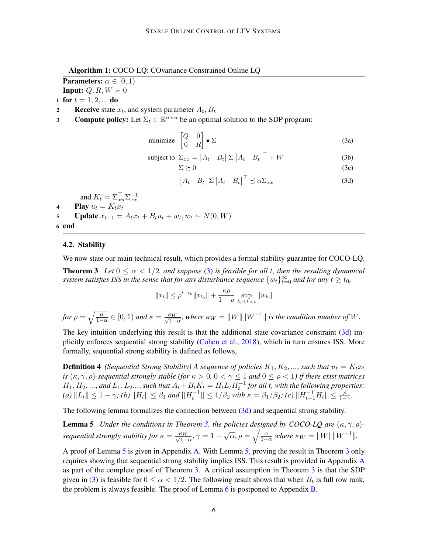Algorithm 1: COCO-LQ: COvariance Constrained Online LQ

**Parameters:**  $\alpha \in [0, 1)$ 

**Input:**  $Q, R, W \succ 0$ 

1 for  $t = 1, 2, ...$  do

2 Receive state  $x_t$ , and system parameter  $A_t$ ,  $B_t$ 

3 Compute policy: Let  $\Sigma_t \in \mathbb{R}^{n \times n}$  be an optimal solution to the SDP program:

$$
\text{minimize} \begin{bmatrix} Q & 0 \\ 0 & R \end{bmatrix} \bullet \Sigma \tag{3a}
$$

subject to 
$$
\Sigma_{xx} = \begin{bmatrix} A_t & B_t \end{bmatrix} \Sigma \begin{bmatrix} A_t & B_t \end{bmatrix}^\top + W
$$
 (3b)

<span id="page-5-4"></span><span id="page-5-2"></span>
$$
\Sigma \succeq 0 \tag{3c}
$$

<span id="page-5-9"></span><span id="page-5-5"></span><span id="page-5-3"></span>
$$
\begin{bmatrix} A_t & B_t \end{bmatrix} \Sigma \begin{bmatrix} A_t & B_t \end{bmatrix}^\top \preceq \alpha \Sigma_{xx} \tag{3d}
$$

and  $K_t = \Sigma_{xu}^{\top} \Sigma_{xx}^{-1}$ 4 **Play**  $u_t = K_t x_t$ 

5 | Update  $x_{t+1} = A_t x_t + B_t u_t + w_t, w_t \sim N(0, W)$ 

6 end

## <span id="page-5-1"></span><span id="page-5-0"></span>4.2. Stability

We now state our main technical result, which provides a formal stability guarantee for COCO-LQ.

**Theorem 3** Let  $0 \le \alpha < 1/2$ , and suppose [\(3\)](#page-5-2) is feasible for all t, then the resulting dynamical *system satisfies ISS in the sense that for any disturbance sequence*  $\{w_t\}_{t=0}^{\infty}$  and for any  $t \geq t_0$ ,

<span id="page-5-6"></span>
$$
||x_t|| \leq \rho^{t-t_0} ||x_{t_0}|| + \frac{\kappa \rho}{1-\rho} \sup_{t_0 \leq k < t} ||w_k||
$$

for 
$$
\rho = \sqrt{\frac{\alpha}{1-\alpha}} \in [0,1)
$$
 and  $\kappa = \frac{\kappa_W}{\sqrt{1-\alpha}}$ , where  $\kappa_W = ||W|| ||W^{-1}||$  is the condition number of W.

The key intuition underlying this result is that the additional state covariance constraint [\(3d\)](#page-5-3) implicitly enforces sequential strong stability [\(Cohen et al.,](#page-10-6) [2018\)](#page-10-6), which in turn ensures ISS. More formally, sequential strong stability is defined as follows,

<span id="page-5-8"></span>**Definition 4** *(Sequential Strong Stability) A sequence of policies*  $K_1, K_2, ...,$  *such that*  $u_t = K_t x_t$ *is*  $(\kappa, \gamma, \rho)$ -sequential strongly stable (for  $\kappa > 0$ ,  $0 < \gamma \leq 1$  and  $0 \leq \rho < 1$ ) if there exist matrices  $H_1, H_2, ...,$  and  $L_1, L_2...,$  such that  $A_t + B_t K_t = H_t L_t H_t^{-1}$  for all t, with the following properties:  $f(a)$   $||L_t|| \leq 1 - \gamma$ ; *(b)*  $||H_t|| \leq \beta_1$  *and*  $||H_t^{-1}|| \leq 1/\beta_2$  *with*  $\kappa = \beta_1/\beta_2$ ; *(c)*  $||H_{t+1}^{-1}H_t|| \leq \frac{\rho}{1-\gamma}$ .

The following lemma formalizes the connection between [\(3d\)](#page-5-3) and sequential strong stability.

**Lemma 5** *Under the conditions in Theorem [3,](#page-5-5) the policies designed by COCO-LQ are*  $(\kappa, \gamma, \rho)$ *sequential strongly stability for*  $\kappa = \frac{\kappa_W}{\sqrt{1-\alpha}}, \gamma = 1 - \sqrt{\alpha}, \rho = \sqrt{\frac{\alpha}{1-\alpha}}$  where  $\kappa_W = ||W|| ||W^{-1}||$ .

<span id="page-5-7"></span>A proof of Lemma [5](#page-5-6) is given in Appendix [A.](#page-12-0) With Lemma [5,](#page-5-6) proving the result in Theorem [3](#page-5-5) only requires showing that sequential strong stability implies ISS. This result is provided in Appendix [A](#page-12-0) as part of the complete proof of Theorem [3.](#page-5-5) A critical assumption in Theorem [3](#page-5-5) is that the SDP given in [\(3\)](#page-5-2) is feasible for  $0 \le \alpha < 1/2$ . The following result shows that when  $B_t$  is full row rank, the problem is always feasible. The proof of Lemma [6](#page-5-7) is postponed to Appendix [B.](#page-15-0)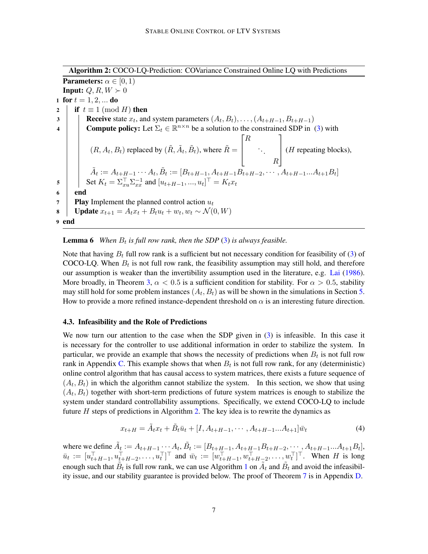Algorithm 2: COCO-LQ-Prediction: COVariance Constrained Online LQ with Predictions **Parameters:**  $\alpha \in [0, 1)$ **Input:**  $Q, R, W \succ 0$ 1 for  $t = 1, 2, ...$  do 2 if  $t \equiv 1 \pmod{H}$  then 3 **Receive** state  $x_t$ , and system parameters  $(A_t, B_t), \ldots, (A_{t+H-1}, B_{t+H-1})$ 4 Compute policy: Let  $\Sigma_t \in \mathbb{R}^{n \times n}$  be a solution to the constrained SDP in [\(3\)](#page-5-2) with  $(R, A_t, B_t)$  replaced by  $(\tilde{R}, \tilde{A}_t, \tilde{B}_t)$ , where  $\tilde{R} =$  $\lceil$  $\vert$ R . . . R 1  $\left| \right.$  (*H* repeating blocks),  $\tilde{A}_t := A_{t+H-1} \cdots A_t, \tilde{B}_t := [B_{t+H-1}, A_{t+H-1} \overline{B_{t+H-2}}, \cdots, A_{t+H-1} \cdots A_{t+1} B_t]$ 5 Set  $K_t = \sum_{x}^{\top} \sum_{x}^{-1}$  and  $[u_{t+H-1},...,u_t]^{\top} = K_t x_t$ 6 | end **7 Play** Implement the planned control action  $u_t$ 8 | Update  $x_{t+1} = A_t x_t + B_t u_t + w_t, w_t \sim \mathcal{N}(0, W)$ 9 end

# <span id="page-6-1"></span>**Lemma 6** When  $B_t$  is full row rank, then the SDP  $(3)$  is always feasible.

Note that having  $B_t$  full row rank is a sufficient but not necessary condition for feasibility of [\(3\)](#page-5-2) of COCO-LQ. When  $B_t$  is not full row rank, the feasibility assumption may still hold, and therefore our assumption is weaker than the invertibility assumption used in the literature, e.g. [Lai](#page-11-14) [\(1986\)](#page-11-14). More broadly, in Theorem [3,](#page-5-5)  $\alpha$  < 0.5 is a sufficient condition for stability. For  $\alpha$  > 0.5, stability may still hold for some problem instances  $(A_t, B_t)$  as will be shown in the simulations in Section [5.](#page-7-1) How to provide a more refined instance-dependent threshold on  $\alpha$  is an interesting future direction.

## <span id="page-6-0"></span>4.3. Infeasibility and the Role of Predictions

We now turn our attention to the case when the SDP given in [\(3\)](#page-5-2) is infeasible. In this case it is necessary for the controller to use additional information in order to stabilize the system. In particular, we provide an example that shows the necessity of predictions when  $B_t$  is not full row rank in Appendix [C.](#page-15-1) This example shows that when  $B_t$  is not full row rank, for any (deterministic) online control algorithm that has causal access to system matrices, there exists a future sequence of  $(A_t, B_t)$  in which the algorithm cannot stabilize the system. In this section, we show that using  $(A_t, B_t)$  together with short-term predictions of future system matrices is enough to stabilize the system under standard controllability assumptions. Specifically, we extend COCO-LQ to include future  $H$  steps of predictions in Algorithm [2.](#page-6-1) The key idea is to rewrite the dynamics as

$$
x_{t+H} = \tilde{A}_t x_t + \tilde{B}_t \bar{u}_t + [I, A_{t+H-1}, \cdots, A_{t+H-1} \cdots A_{t+1}] \bar{w}_t
$$
\n(4)

<span id="page-6-2"></span>where we define  $\tilde{A}_t := A_{t+H-1} \cdots A_t$ ,  $\tilde{B}_t := [B_{t+H-1}, A_{t+H-1}B_{t+H-2}, \cdots, A_{t+H-1} \cdots A_{t+1}B_t]$ ,  $\bar{u}_t := [u_{t+H-1}^\top, u_{t+H-2}^\top, \dots, u_t^\top]^\top$  and  $\bar{w}_t := [w_{t+H-1}^\top, w_{t+H-2}^\top, \dots, w_t^\top]^\top$ . When H is long enough such that  $\tilde{B}_t$  is full row rank, we can use Algorithm [1](#page-5-1) on  $\tilde{A}_t$  and  $\tilde{B}_t$  and avoid the infeasibility issue, and our stability guarantee is provided below. The proof of Theorem [7](#page-6-2) is in Appendix [D.](#page-16-0)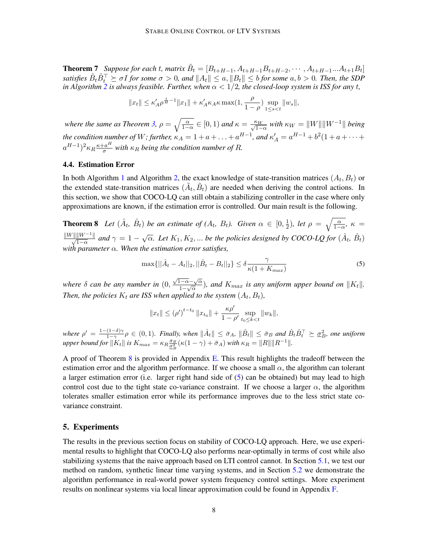**Theorem 7** Suppose for each t, matrix  $\tilde{B}_t = [B_{t+H-1}, A_{t+H-1}B_{t+H-2}, \cdots, A_{t+H-1}A_{t+1}B_t]$  $satisfies \ \tilde{B}_t\tilde{B}_t^\top\succeq \sigma I$  for some  $\sigma>0$ , and  $\|A_t\|\leq a, \|B_t\|\leq b$  for some  $a,b>0.$  Then, the SDP *in Algorithm* [2](#page-6-1) *is always feasible. Further, when*  $\alpha < 1/2$ *, the closed-loop system is ISS for any t*,

$$
||x_t|| \leq \kappa_A' \rho^{\frac{t}{H}-1} ||x_1|| + \kappa_A' \kappa_A \kappa \max(1, \frac{\rho}{1-\rho}) \sup_{1 \leq s < t} ||w_s||,
$$

*where the same as Theorem [3,](#page-5-5)*  $\rho = \sqrt{\frac{\alpha}{1-\alpha}} \in [0,1)$  *and*  $\kappa = \frac{\kappa_W}{\sqrt{1-\alpha}}$  *with*  $\kappa_W = ||W|| ||W^{-1}||$  *being the condition number of W; further,*  $\kappa_A = 1 + a + \ldots + a^{H-1}$ *, and*  $\kappa_A' = a^{H-1} + b^2(1 + a + \cdots + a^H)$  $(a^{H-1})^2 \kappa_R \frac{\kappa + a^H}{\sigma}$  $\frac{a^{n}}{\sigma}$  with  $\kappa_R$  being the condition number of R.

#### <span id="page-7-0"></span>4.4. Estimation Error

In both Algorithm [1](#page-5-1) and Algorithm [2,](#page-6-1) the exact knowledge of state-transition matrices  $(A_t, B_t)$  or the extended state-transition matrices  $(\tilde{A}_t, \tilde{B}_t)$  are needed when deriving the control actions. In this section, we show that COCO-LQ can still obtain a stabilizing controller in the case where only approximations are known, if the estimation error is controlled. Our main result is the following.

<span id="page-7-2"></span>**Theorem 8** Let  $(\hat{A}_t, \hat{B}_t)$  be an estimate of  $(A_t, B_t)$ . Given  $\alpha \in [0, \frac{1}{2}]$  $(\frac{1}{2})$ *, let*  $\rho = \sqrt{\frac{\alpha}{1-\alpha}}$ *, κ* =  $\frac{\|W\| \|W^{-1}\|}{\sqrt{1-\alpha}}$  and  $\gamma = 1 - \sqrt{\alpha}$ . Let  $K_1, K_2, ...$  be the policies designed by COCO-LQ for  $(\hat{A}_t, \hat{B}_t)$ *with parameter* α*. When the estimation error satisfies,*

<span id="page-7-3"></span>
$$
\max\{||\hat{A}_t - A_t||_2, ||\hat{B}_t - B_t||_2\} \le \delta \frac{\gamma}{\kappa(1 + K_{max})}
$$
\n(5)

*where* δ *can be any number in* (0,  $\sqrt{1-\alpha}-\sqrt{\alpha}$  $\frac{1-\alpha-\sqrt{\alpha}}{1-\sqrt{\alpha}}$ ), and  $K_{max}$  is any uniform upper bound on  $||K_t||$ . Then, the policies  $K_t$  are ISS when applied to the system  $(A_t, B_t)$ ,

$$
||x_t|| \leq (\rho')^{t-t_0} ||x_{t_0}|| + \frac{\kappa \rho'}{1 - \rho'} \sup_{t_0 \leq k < t} ||w_k||,
$$

*where*  $\rho' = \frac{1-(1-\delta)\gamma}{1-\gamma}$  $\frac{(1-\delta)\gamma}{1-\gamma}$  $\rho$  ∈ (0,1)*. Finally, when*  $\|\hat{A}_t\|$  ≤  $\bar{\sigma}_A$ ,  $\|\hat{B}_t\|$  ≤  $\bar{\sigma}_B$  *and*  $\hat{B}_t \hat{B}_t^\top$   $\succeq \underline{\sigma}_B^2$ *, one uniform upper bound for*  $\|K_t\|$  *is*  $K_{max} = \kappa_R \frac{\bar{\sigma}_B}{\sigma_B^2} (\kappa(1-\gamma) + \bar{\sigma}_A)$  *with*  $\kappa_R = \|R\| \|R^{-1}\|$ .

A proof of Theorem [8](#page-7-2) is provided in Appendix [E.](#page-17-0) This result highlights the tradeoff between the estimation error and the algorithm performance. If we choose a small  $\alpha$ , the algorithm can tolerant a larger estimation error (i.e. larger right hand side of [\(5\)](#page-7-3) can be obtained) but may lead to high control cost due to the tight state co-variance constraint. If we choose a larger  $\alpha$ , the algorithm tolerates smaller estimation error while its performance improves due to the less strict state covariance constraint.

## <span id="page-7-1"></span>5. Experiments

The results in the previous section focus on stability of COCO-LQ approach. Here, we use experimental results to highlight that COCO-LQ also performs near-optimally in terms of cost while also stabilizing systems that the naive approach based on LTI control cannot. In Section [5.1,](#page-8-0) we test our method on random, synthetic linear time varying systems, and in Section [5.2](#page-8-1) we demonstrate the algorithm performance in real-world power system frequency control settings. More experiment results on nonlinear systems via local linear approximation could be found in Appendix [F.](#page-19-0)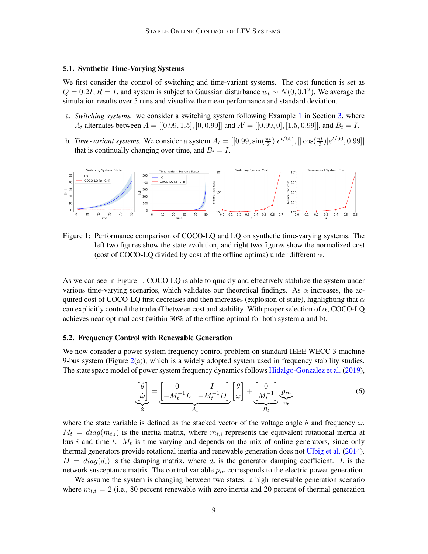## <span id="page-8-0"></span>5.1. Synthetic Time-Varying Systems

We first consider the control of switching and time-variant systems. The cost function is set as  $Q = 0.2I, R = I$ , and system is subject to Gaussian disturbance  $w_t \sim N(0, 0.1^2)$ . We average the simulation results over 5 runs and visualize the mean performance and standard deviation.

- a. *Switching systems.* we consider a switching system following Example [1](#page-4-1) in Section [3,](#page-3-0) where  $A_t$  alternates between  $A = [[0.99, 1.5], [0, 0.99]]$  and  $A' = [[0.99, 0], [1.5, 0.99]],$  and  $B_t = I$ .
- b. *Time-variant systems*. We consider a system  $A_t = [[0.99, \sin(\frac{\pi t}{2})|e^{t/60}], [|\cos(\frac{\pi t}{2})|e^{t/60}, 0.99]]$ that is continually changing over time, and  $B_t = I$ .



Figure 1: Performance comparison of COCO-LQ and LQ on synthetic time-varying systems. The left two figures show the state evolution, and right two figures show the normalized cost (cost of COCO-LO divided by cost of the offline optima) under different  $\alpha$ .

As we can see in Figure [1,](#page-8-2) COCO-LQ is able to quickly and effectively stabilize the system under various time-varying scenarios, which validates our theoretical findings. As  $\alpha$  increases, the acquired cost of COCO-LQ first decreases and then increases (explosion of state), highlighting that  $\alpha$ can explicitly control the tradeoff between cost and stability. With proper selection of  $\alpha$ , COCO-LQ achieves near-optimal cost (within 30% of the offline optimal for both system a and b).

## <span id="page-8-1"></span>5.2. Frequency Control with Renewable Generation

We now consider a power system frequency control problem on standard IEEE WECC 3-machine 9-bus system (Figure  $2(a)$  $2(a)$ ), which is a widely adopted system used in frequency stability studies. The state space model of power system frequency dynamics follows [Hidalgo-Gonzalez et al.](#page-10-12) [\(2019\)](#page-10-12),

<span id="page-8-2"></span>
$$
\underbrace{\begin{bmatrix} \dot{\theta} \\ \dot{\omega} \end{bmatrix}}_{\dot{\mathbf{x}}} = \underbrace{\begin{bmatrix} 0 & I \\ -M_t^{-1}L & -M_t^{-1}D \end{bmatrix}}_{A_t} \underbrace{\begin{bmatrix} \theta \\ \omega \end{bmatrix}}_{\dot{\mathbf{u}}} + \underbrace{\begin{bmatrix} 0 \\ M_t^{-1} \end{bmatrix}}_{B_t} \underbrace{p_{in}}_{\mathbf{u_t}}
$$
\n(6)

where the state variable is defined as the stacked vector of the voltage angle  $\theta$  and frequency  $\omega$ .  $M_t = diag(m_{t,i})$  is the inertia matrix, where  $m_{t,i}$  represents the equivalent rotational inertia at bus i and time  $t$ .  $M_t$  is time-varying and depends on the mix of online generators, since only thermal generators provide rotational inertia and renewable generation does not [Ulbig et al.](#page-11-0) [\(2014\)](#page-11-0).  $D = diag(d_i)$  is the damping matrix, where  $d_i$  is the generator damping coefficient. L is the network susceptance matrix. The control variable  $p_{in}$  corresponds to the electric power generation.

We assume the system is changing between two states: a high renewable generation scenario where  $m_{t,i} = 2$  (i.e., 80 percent renewable with zero inertia and 20 percent of thermal generation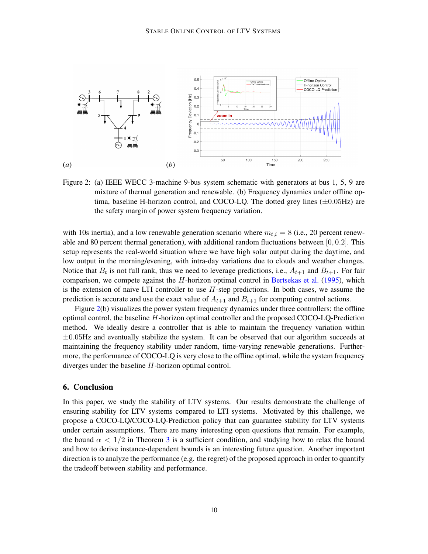

<span id="page-9-0"></span>Figure 2: (a) IEEE WECC 3-machine 9-bus system schematic with generators at bus 1, 5, 9 are mixture of thermal generation and renewable. (b) Frequency dynamics under offline optima, baseline H-horizon control, and COCO-LQ. The dotted grey lines  $(\pm 0.05Hz)$  are the safety margin of power system frequency variation.

with 10s inertia), and a low renewable generation scenario where  $m_{t,i} = 8$  (i.e., 20 percent renewable and 80 percent thermal generation), with additional random fluctuations between [0, 0.2]. This setup represents the real-world situation where we have high solar output during the daytime, and low output in the morning/evening, with intra-day variations due to clouds and weather changes. Notice that  $B_t$  is not full rank, thus we need to leverage predictions, i.e.,  $A_{t+1}$  and  $B_{t+1}$ . For fair comparison, we compete against the  $H$ -horizon optimal control in [Bertsekas et al.](#page-10-4) [\(1995\)](#page-10-4), which is the extension of naive LTI controller to use  $H$ -step predictions. In both cases, we assume the prediction is accurate and use the exact value of  $A_{t+1}$  and  $B_{t+1}$  for computing control actions.

Figure [2\(](#page-9-0)b) visualizes the power system frequency dynamics under three controllers: the offline optimal control, the baseline H-horizon optimal controller and the proposed COCO-LQ-Prediction method. We ideally desire a controller that is able to maintain the frequency variation within  $\pm 0.05$ Hz and eventually stabilize the system. It can be observed that our algorithm succeeds at maintaining the frequency stability under random, time-varying renewable generations. Furthermore, the performance of COCO-LQ is very close to the offline optimal, while the system frequency diverges under the baseline H-horizon optimal control.

## 6. Conclusion

In this paper, we study the stability of LTV systems. Our results demonstrate the challenge of ensuring stability for LTV systems compared to LTI systems. Motivated by this challenge, we propose a COCO-LQ/COCO-LQ-Prediction policy that can guarantee stability for LTV systems under certain assumptions. There are many interesting open questions that remain. For example, the bound  $\alpha < 1/2$  in Theorem [3](#page-5-5) is a sufficient condition, and studying how to relax the bound and how to derive instance-dependent bounds is an interesting future question. Another important direction is to analyze the performance (e.g. the regret) of the proposed approach in order to quantify the tradeoff between stability and performance.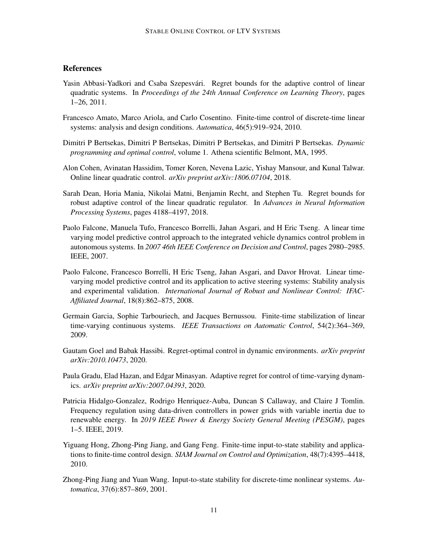# **References**

- <span id="page-10-7"></span>Yasin Abbasi-Yadkori and Csaba Szepesvári. Regret bounds for the adaptive control of linear quadratic systems. In *Proceedings of the 24th Annual Conference on Learning Theory*, pages 1–26, 2011.
- <span id="page-10-1"></span>Francesco Amato, Marco Ariola, and Carlo Cosentino. Finite-time control of discrete-time linear systems: analysis and design conditions. *Automatica*, 46(5):919–924, 2010.
- <span id="page-10-4"></span>Dimitri P Bertsekas, Dimitri P Bertsekas, Dimitri P Bertsekas, and Dimitri P Bertsekas. *Dynamic programming and optimal control*, volume 1. Athena scientific Belmont, MA, 1995.
- <span id="page-10-6"></span>Alon Cohen, Avinatan Hassidim, Tomer Koren, Nevena Lazic, Yishay Mansour, and Kunal Talwar. Online linear quadratic control. *arXiv preprint arXiv:1806.07104*, 2018.
- <span id="page-10-8"></span>Sarah Dean, Horia Mania, Nikolai Matni, Benjamin Recht, and Stephen Tu. Regret bounds for robust adaptive control of the linear quadratic regulator. In *Advances in Neural Information Processing Systems*, pages 4188–4197, 2018.
- <span id="page-10-9"></span>Paolo Falcone, Manuela Tufo, Francesco Borrelli, Jahan Asgari, and H Eric Tseng. A linear time varying model predictive control approach to the integrated vehicle dynamics control problem in autonomous systems. In *2007 46th IEEE Conference on Decision and Control*, pages 2980–2985. IEEE, 2007.
- <span id="page-10-0"></span>Paolo Falcone, Francesco Borrelli, H Eric Tseng, Jahan Asgari, and Davor Hrovat. Linear timevarying model predictive control and its application to active steering systems: Stability analysis and experimental validation. *International Journal of Robust and Nonlinear Control: IFAC-Affiliated Journal*, 18(8):862–875, 2008.
- <span id="page-10-3"></span>Germain Garcia, Sophie Tarbouriech, and Jacques Bernussou. Finite-time stabilization of linear time-varying continuous systems. *IEEE Transactions on Automatic Control*, 54(2):364–369, 2009.
- <span id="page-10-10"></span>Gautam Goel and Babak Hassibi. Regret-optimal control in dynamic environments. *arXiv preprint arXiv:2010.10473*, 2020.
- <span id="page-10-5"></span>Paula Gradu, Elad Hazan, and Edgar Minasyan. Adaptive regret for control of time-varying dynamics. *arXiv preprint arXiv:2007.04393*, 2020.
- <span id="page-10-12"></span>Patricia Hidalgo-Gonzalez, Rodrigo Henriquez-Auba, Duncan S Callaway, and Claire J Tomlin. Frequency regulation using data-driven controllers in power grids with variable inertia due to renewable energy. In *2019 IEEE Power & Energy Society General Meeting (PESGM)*, pages 1–5. IEEE, 2019.
- <span id="page-10-2"></span>Yiguang Hong, Zhong-Ping Jiang, and Gang Feng. Finite-time input-to-state stability and applications to finite-time control design. *SIAM Journal on Control and Optimization*, 48(7):4395–4418, 2010.
- <span id="page-10-11"></span>Zhong-Ping Jiang and Yuan Wang. Input-to-state stability for discrete-time nonlinear systems. *Automatica*, 37(6):857–869, 2001.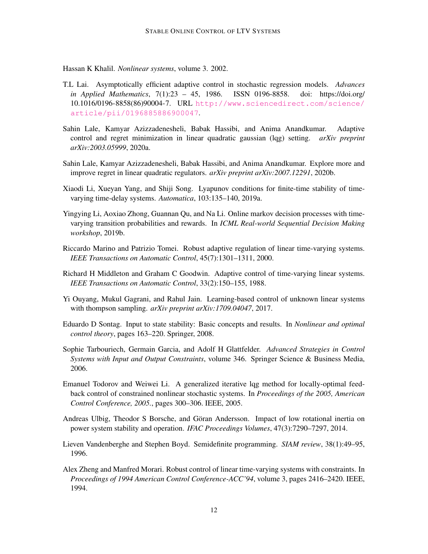<span id="page-11-4"></span>Hassan K Khalil. *Nonlinear systems*, volume 3. 2002.

- <span id="page-11-14"></span>T.L Lai. Asymptotically efficient adaptive control in stochastic regression models. *Advances in Applied Mathematics*, 7(1):23 – 45, 1986. ISSN 0196-8858. doi: https://doi.org/ 10.1016/0196-8858(86)90004-7. URL [http://www.sciencedirect.com/science/](http://www.sciencedirect.com/science/article/pii/0196885886900047) [article/pii/0196885886900047](http://www.sciencedirect.com/science/article/pii/0196885886900047).
- <span id="page-11-7"></span>Sahin Lale, Kamyar Azizzadenesheli, Babak Hassibi, and Anima Anandkumar. Adaptive control and regret minimization in linear quadratic gaussian (lqg) setting. *arXiv preprint arXiv:2003.05999*, 2020a.
- <span id="page-11-8"></span>Sahin Lale, Kamyar Azizzadenesheli, Babak Hassibi, and Anima Anandkumar. Explore more and improve regret in linear quadratic regulators. *arXiv preprint arXiv:2007.12291*, 2020b.
- <span id="page-11-5"></span>Xiaodi Li, Xueyan Yang, and Shiji Song. Lyapunov conditions for finite-time stability of timevarying time-delay systems. *Automatica*, 103:135–140, 2019a.
- <span id="page-11-13"></span>Yingying Li, Aoxiao Zhong, Guannan Qu, and Na Li. Online markov decision processes with timevarying transition probabilities and rewards. In *ICML Real-world Sequential Decision Making workshop*, 2019b.
- <span id="page-11-10"></span>Riccardo Marino and Patrizio Tomei. Robust adaptive regulation of linear time-varying systems. *IEEE Transactions on Automatic Control*, 45(7):1301–1311, 2000.
- <span id="page-11-9"></span>Richard H Middleton and Graham C Goodwin. Adaptive control of time-varying linear systems. *IEEE Transactions on Automatic Control*, 33(2):150–155, 1988.
- <span id="page-11-2"></span>Yi Ouyang, Mukul Gagrani, and Rahul Jain. Learning-based control of unknown linear systems with thompson sampling. *arXiv preprint arXiv:1709.04047*, 2017.
- <span id="page-11-12"></span>Eduardo D Sontag. Input to state stability: Basic concepts and results. In *Nonlinear and optimal control theory*, pages 163–220. Springer, 2008.
- <span id="page-11-3"></span>Sophie Tarbouriech, Germain Garcia, and Adolf H Glattfelder. *Advanced Strategies in Control Systems with Input and Output Constraints*, volume 346. Springer Science & Business Media, 2006.
- <span id="page-11-1"></span>Emanuel Todorov and Weiwei Li. A generalized iterative lqg method for locally-optimal feedback control of constrained nonlinear stochastic systems. In *Proceedings of the 2005, American Control Conference, 2005.*, pages 300–306. IEEE, 2005.
- <span id="page-11-0"></span>Andreas Ulbig, Theodor S Borsche, and Göran Andersson. Impact of low rotational inertia on power system stability and operation. *IFAC Proceedings Volumes*, 47(3):7290–7297, 2014.
- <span id="page-11-6"></span>Lieven Vandenberghe and Stephen Boyd. Semidefinite programming. *SIAM review*, 38(1):49–95, 1996.
- <span id="page-11-11"></span>Alex Zheng and Manfred Morari. Robust control of linear time-varying systems with constraints. In *Proceedings of 1994 American Control Conference-ACC'94*, volume 3, pages 2416–2420. IEEE, 1994.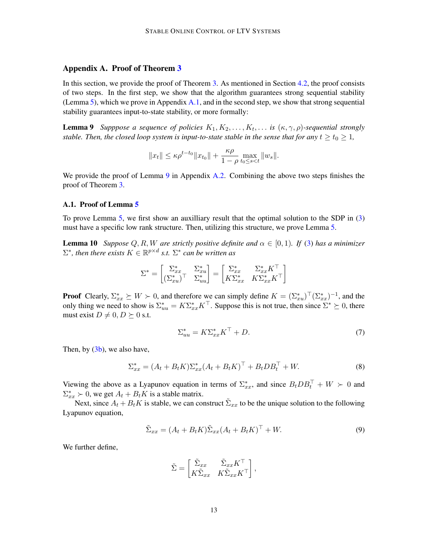# <span id="page-12-0"></span>Appendix A. Proof of Theorem [3](#page-5-5)

In this section, we provide the proof of Theorem [3.](#page-5-5) As mentioned in Section [4.2,](#page-5-0) the proof consists of two steps. In the first step, we show that the algorithm guarantees strong sequential stability (Lemma [5\)](#page-5-6), which we prove in Appendix [A.1,](#page-12-1) and in the second step, we show that strong sequential stability guarantees input-to-state stability, or more formally:

**Lemma 9** Supppose a sequence of policies  $K_1, K_2, \ldots, K_t, \ldots$  is  $(\kappa, \gamma, \rho)$ -sequential strongly *stable. Then, the closed loop system is input-to-state stable in the sense that for any*  $t \geq t_0 \geq 1$ ,

<span id="page-12-2"></span>
$$
||x_t|| \le \kappa \rho^{t-t_0} ||x_{t_0}|| + \frac{\kappa \rho}{1 - \rho} \max_{t_0 \le s < t} ||w_s||.
$$

We provide the proof of Lemma [9](#page-12-2) in Appendix [A.2.](#page-14-0) Combining the above two steps finishes the proof of Theorem [3.](#page-5-5)

#### <span id="page-12-1"></span>A.1. Proof of Lemma [5](#page-5-6)

To prove Lemma [5,](#page-5-6) we first show an auxilliary result that the optimal solution to the SDP in [\(3\)](#page-5-2) must have a specific low rank structure. Then, utilizing this structure, we prove Lemma [5.](#page-5-6)

**Lemma 10** *Suppose*  $Q, R, W$  *are strictly positive definite and*  $\alpha \in [0, 1)$ *. If* [\(3\)](#page-5-2) *has a minimizer*  $\Sigma^*$ , then there exists  $K \in \mathbb{R}^{p \times d}$  s.t.  $\Sigma^*$  can be written as

$$
\Sigma^* = \begin{bmatrix} \Sigma_{xx}^* & \Sigma_{xu}^* \\ (\Sigma_{xu}^*)^\top & \Sigma_{uu}^* \end{bmatrix} = \begin{bmatrix} \Sigma_{xx}^* & \Sigma_{xx}^* K^\top \\ K \Sigma_{xx}^* & K \Sigma_{xx}^* K^\top \end{bmatrix}
$$

**Proof** Clearly,  $\Sigma_{xx}^* \succeq W \succ 0$ , and therefore we can simply define  $K = (\Sigma_{xx}^*)^\top (\Sigma_{xx}^*)^{-1}$ , and the only thing we need to show is  $\Sigma_{uu}^* = K \Sigma_{xx}^* K^\top$ . Suppose this is not true, then since  $\Sigma^* \succeq 0$ , there must exist  $D \neq 0, D \succeq 0$  s.t.

<span id="page-12-5"></span><span id="page-12-3"></span>
$$
\Sigma_{uu}^* = K \Sigma_{xx}^* K^\top + D. \tag{7}
$$

Then, by  $(3b)$ , we also have,

$$
\Sigma_{xx}^* = (A_t + B_t K) \Sigma_{xx}^* (A_t + B_t K)^\top + B_t D B_t^\top + W.
$$
\n(8)

Viewing the above as a Lyapunov equation in terms of  $\Sigma_{xx}^*$ , and since  $B_tDB_t^\top + W > 0$  and  $\Sigma_{xx}^* \succ 0$ , we get  $A_t + B_t K$  is a stable matrix.

Next, since  $A_t + B_t K$  is stable, we can construct  $\tilde{\Sigma}_{xx}$  to be the unique solution to the following Lyapunov equation,

$$
\tilde{\Sigma}_{xx} = (A_t + B_t K) \tilde{\Sigma}_{xx} (A_t + B_t K)^\top + W.
$$
\n(9)

We further define,

<span id="page-12-4"></span>
$$
\tilde{\Sigma} = \begin{bmatrix} \tilde{\Sigma}_{xx} & \tilde{\Sigma}_{xx} K^{\top} \\ K\tilde{\Sigma}_{xx} & K\tilde{\Sigma}_{xx} K^{\top} \end{bmatrix},
$$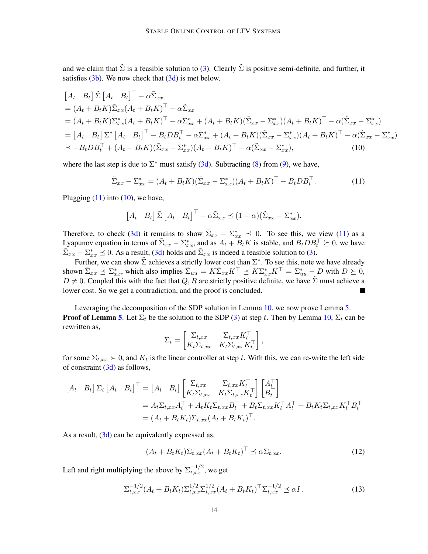and we claim that  $\tilde{\Sigma}$  is a feasible solution to [\(3\)](#page-5-2). Clearly  $\tilde{\Sigma}$  is positive semi-definite, and further, it satisfies  $(3b)$ . We now check that  $(3d)$  is met below.

$$
\begin{split}\n\left[A_t \quad B_t\right] \tilde{\Sigma} \left[A_t \quad B_t\right]^\top - \alpha \tilde{\Sigma}_{xx} \\
&= (A_t + B_t K) \tilde{\Sigma}_{xx} (A_t + B_t K)^\top - \alpha \tilde{\Sigma}_{xx} \\
&= (A_t + B_t K) \Sigma_{xx}^* (A_t + B_t K)^\top - \alpha \Sigma_{xx}^* + (A_t + B_t K) (\tilde{\Sigma}_{xx} - \Sigma_{xx}^*) (A_t + B_t K)^\top - \alpha (\tilde{\Sigma}_{xx} - \Sigma_{xx}^*) \\
&= \left[A_t \quad B_t\right] \Sigma^* \left[A_t \quad B_t\right]^\top - B_t DB_t^\top - \alpha \Sigma_{xx}^* + (A_t + B_t K) (\tilde{\Sigma}_{xx} - \Sigma_{xx}^*) (A_t + B_t K)^\top - \alpha (\tilde{\Sigma}_{xx} - \Sigma_{xx}^*) \\
&\leq -B_t DB_t^\top + (A_t + B_t K) (\tilde{\Sigma}_{xx} - \Sigma_{xx}^*) (A_t + B_t K)^\top - \alpha (\tilde{\Sigma}_{xx} - \Sigma_{xx}^*),\n\end{split}
$$
\n(10)

where the last step is due to  $\Sigma^*$  must satisfy [\(3d\)](#page-5-3). Subtracting [\(8\)](#page-12-3) from [\(9\)](#page-12-4), we have,

$$
\tilde{\Sigma}_{xx} - \Sigma_{xx}^* = (A_t + B_t K)(\tilde{\Sigma}_{xx} - \Sigma_{xx}^*)(A_t + B_t K)^\top - B_t D B_t^\top.
$$
\n(11)

Plugging  $(11)$  into  $(10)$ , we have,

<span id="page-13-1"></span><span id="page-13-0"></span>
$$
\begin{bmatrix} A_t & B_t \end{bmatrix} \tilde{\Sigma} \begin{bmatrix} A_t & B_t \end{bmatrix}^{\top} - \alpha \tilde{\Sigma}_{xx} \preceq (1 - \alpha)(\tilde{\Sigma}_{xx} - \Sigma_{xx}^*).
$$

Therefore, to check [\(3d\)](#page-5-3) it remains to show  $\tilde{\Sigma}_{xx} - \Sigma_{xx}^* \preceq 0$ . To see this, we view [\(11\)](#page-13-0) as a Lyapunov equation in terms of  $\tilde{\Sigma}_{xx} - \Sigma_{xx}^*$ , and as  $A_t + B_t K$  is stable, and  $B_t DB_t^{\top} \succeq 0$ , we have  $\tilde{\Sigma}_{xx} - \Sigma_{xx}^* \preceq 0$ . As a result, [\(3d\)](#page-5-3) holds and  $\tilde{\Sigma}_{xx}$  is indeed a feasible solution to [\(3\)](#page-5-2).

Further, we can show  $\tilde{\Sigma}$  achieves a strictly lower cost than  $\Sigma^*$ . To see this, note we have already shown  $\tilde{\Sigma}_{xx} \preceq \Sigma_{xx}^*$ , which also implies  $\tilde{\Sigma}_{uu} = K \tilde{\Sigma}_{xx} K^{\top} \preceq K \Sigma_{xx}^* K^{\top} = \Sigma_{uu}^* - D$  with  $D \succeq 0$ ,  $D \neq 0$ . Coupled this with the fact that Q, R are strictly positive definite, we have  $\tilde{\Sigma}$  must achieve a lower cost. So we get a contradiction, and the proof is concluded.

Leveraging the decomposition of the SDP solution in Lemma [10,](#page-12-5) we now prove Lemma [5.](#page-5-6) **Proof of Lemma [5](#page-5-6).** Let  $\Sigma_t$  be the solution to the SDP [\(3\)](#page-5-2) at step t. Then by Lemma [10,](#page-12-5)  $\Sigma_t$  can be rewritten as,

$$
\Sigma_t = \begin{bmatrix} \Sigma_{t,xx} & \Sigma_{t,xx} K_t^\top \\ K_t \Sigma_{t,xx} & K_t \Sigma_{t,xx} K_t^\top \end{bmatrix},
$$

for some  $\Sigma_{t,xx} \succ 0$ , and  $K_t$  is the linear controller at step t. With this, we can re-write the left side of constraint  $(3d)$  as follows,

$$
\begin{aligned}\n\begin{bmatrix} A_t & B_t \end{bmatrix} \Sigma_t \begin{bmatrix} A_t & B_t \end{bmatrix}^\top &= \begin{bmatrix} A_t & B_t \end{bmatrix} \begin{bmatrix} \Sigma_{t,xx} & \Sigma_{t,xx} K_t^\top \\ K_t \Sigma_{t,xx} & K_t \Sigma_{t,xx} K_t^\top \end{bmatrix} \begin{bmatrix} A_t^\top \\ B_t^\top \end{bmatrix} \\
&= A_t \Sigma_{t,xx} A_t^\top + A_t K_t \Sigma_{t,xx} B_t^\top + B_t \Sigma_{t,xx} K_t^\top A_t^\top + B_t K_t \Sigma_{t,xx} K_t^\top B_t^\top \\
&= (A_t + B_t K_t) \Sigma_{t,xx} (A_t + B_t K_t)^\top.\n\end{aligned}
$$

As a result,  $(3d)$  can be equivalently expressed as,

$$
(A_t + B_t K_t) \Sigma_{t,xx} (A_t + B_t K_t)^\top \preceq \alpha \Sigma_{t,xx}.
$$
\n(12)

Left and right multiplying the above by  $\Sigma_{t,xx}^{-1/2}$ , we get

<span id="page-13-2"></span>
$$
\Sigma_{t,xx}^{-1/2} (A_t + B_t K_t) \Sigma_{t,xx}^{1/2} \Sigma_{t,xx}^{1/2} (A_t + B_t K_t)^\top \Sigma_{t,xx}^{-1/2} \preceq \alpha I \,. \tag{13}
$$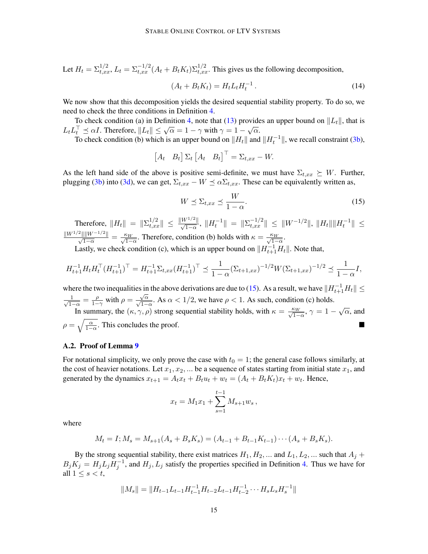Let  $H_t = \sum_{t,xx}^{1/2} L_t = \sum_{t,xx}^{-1/2} (A_t + B_t K_t) \sum_{t,xx}^{1/2}$ . This gives us the following decomposition,

$$
(A_t + B_t K_t) = H_t L_t H_t^{-1}.
$$
\n(14)

We now show that this decomposition yields the desired sequential stability property. To do so, we need to check the three conditions in Definition [4.](#page-5-8)

To check condition (a) in Definition [4,](#page-5-8) note that [\(13\)](#page-13-2) provides an upper bound on  $||L_t||$ , that is L<sub>t</sub>L<sub>τ</sub><sup>T</sup>  $\leq \alpha I$ . Therefore,  $||L_t|| \leq \sqrt{\alpha} = 1 - \gamma$  with  $\gamma = 1 - \sqrt{\alpha}$ .

To check condition (b) which is an upper bound on  $||H_t||$  and  $||H_t^{-1}||$ , we recall constraint [\(3b\)](#page-5-4),

$$
\begin{bmatrix} A_t & B_t \end{bmatrix} \Sigma_t \begin{bmatrix} A_t & B_t \end{bmatrix}^\top = \Sigma_{t, xx} - W.
$$

As the left hand side of the above is positive semi-definite, we must have  $\Sigma_{t,xx} \succeq W$ . Further, plugging [\(3b\)](#page-5-4) into [\(3d\)](#page-5-3), we can get,  $\Sigma_{t,xx} - W \preceq \alpha \Sigma_{t,xx}$ . These can be equivalently written as,

<span id="page-14-1"></span>
$$
W \preceq \Sigma_{t,xx} \preceq \frac{W}{1-\alpha}.\tag{15}
$$

Therefore,  $\|H_t\| = \|\Sigma_{t,xx}^{1/2}\| \le \frac{\|W^{1/2}\|}{\sqrt{1-\alpha}}, \|H_t^{-1}\| = \|\Sigma_{t,xx}^{-1/2}\| \le \|W^{-1/2}\|, \|H_t\| \|H_t^{-1}\| \le$  $\frac{\|W^{1/2}\| \|W^{-1/2}\|}{\sqrt{1-\alpha}} = \frac{\kappa_W}{\sqrt{1-\alpha}}$ . Therefore, condition (b) holds with  $\kappa = \frac{\kappa_W}{\sqrt{1-\alpha}}$ .

Lastly, we check condition (c), which is an upper bound on  $||H_{t+1}^{-1}H_t||$ . Note that,

$$
H_{t+1}^{-1}H_tH_t^\top (H_{t+1}^{-1})^\top = H_{t+1}^{-1} \Sigma_{t,xx} (H_{t+1}^{-1})^\top \preceq \frac{1}{1-\alpha} (\Sigma_{t+1,xx})^{-1/2} W (\Sigma_{t+1,xx})^{-1/2} \preceq \frac{1}{1-\alpha} I,
$$

where the two inequalities in the above derivations are due to [\(15\)](#page-14-1). As a result, we have  $||H_{t+1}^{-1}H_t|| \le$  $\frac{1}{\sqrt{1}}$  $\frac{1}{1-\alpha} = \frac{\rho}{1-\alpha}$  $\frac{\rho}{1-\gamma}$  with  $\rho =$  $\frac{\sqrt{\alpha}}{\sqrt{1-\alpha}}$ . As  $\alpha < 1/2$ , we have  $\rho < 1$ . As such, condition (c) holds. In summary, the  $(\kappa, \gamma, \rho)$  strong sequential stability holds, with  $\kappa = \frac{\kappa_W}{\sqrt{1-\alpha}}$ ,  $\gamma = 1 - \sqrt{\alpha}$ , and  $\rho = \sqrt{\frac{\alpha}{1-\alpha}}$ . This concludes the proof.

## <span id="page-14-0"></span>A.2. Proof of Lemma [9](#page-12-2)

For notational simplicity, we only prove the case with  $t_0 = 1$ ; the general case follows similarly, at the cost of heavier notations. Let  $x_1, x_2, ...$  be a sequence of states starting from initial state  $x_1$ , and generated by the dynamics  $x_{t+1} = A_t x_t + B_t u_t + w_t = (A_t + B_t K_t)x_t + w_t$ . Hence,

$$
x_t = M_1 x_1 + \sum_{s=1}^{t-1} M_{s+1} w_s,
$$

where

$$
M_t = I; M_s = M_{s+1}(A_s + B_s K_s) = (A_{t-1} + B_{t-1} K_{t-1}) \cdots (A_s + B_s K_s).
$$

By the strong sequential stability, there exist matrices  $H_1, H_2, ...$  and  $L_1, L_2, ...$  such that  $A_i$  +  $B_j K_j = H_j L_j H_j^{-1}$ , and  $H_j, L_j$  satisfy the properties specified in Definition [4.](#page-5-8) Thus we have for all  $1 \leq s < t$ ,

$$
||M_s|| = ||H_{t-1}L_{t-1}H_{t-1}^{-1}H_{t-2}L_{t-1}H_{t-2}^{-1} \cdots H_sL_sH_s^{-1}||
$$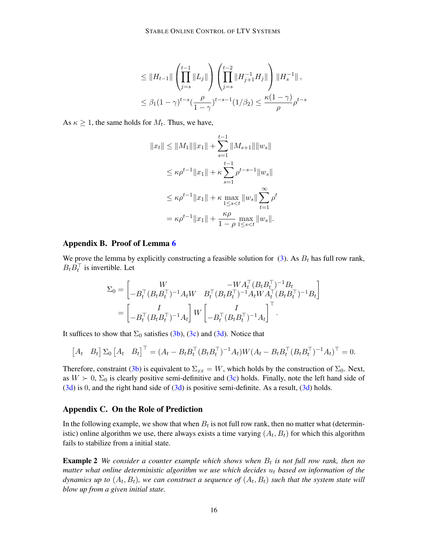$$
\leq \|H_{t-1}\| \left(\prod_{j=s}^{t-1} \|L_j\| \right) \left(\prod_{j=s}^{t-2} \|H_{j+1}^{-1} H_j\| \right) \|H_s^{-1}\|,
$$
  

$$
\leq \beta_1 (1-\gamma)^{t-s} \left(\frac{\rho}{1-\gamma}\right)^{t-s-1} (1/\beta_2) \leq \frac{\kappa(1-\gamma)}{\rho} \rho^{t-s}
$$

As  $\kappa \geq 1$ , the same holds for  $M_t$ . Thus, we have,

$$
||x_t|| \le ||M_1|| ||x_1|| + \sum_{s=1}^{t-1} ||M_{s+1}|| ||w_s||
$$
  
\n
$$
\le \kappa \rho^{t-1} ||x_1|| + \kappa \sum_{s=1}^{t-1} \rho^{t-s-1} ||w_s||
$$
  
\n
$$
\le \kappa \rho^{t-1} ||x_1|| + \kappa \max_{1 \le s < t} ||w_s|| \sum_{t=1}^{\infty} \rho^t
$$
  
\n
$$
= \kappa \rho^{t-1} ||x_1|| + \frac{\kappa \rho}{1 - \rho} \max_{1 \le s < t} ||w_s||.
$$

#### <span id="page-15-0"></span>Appendix B. Proof of Lemma [6](#page-5-7)

We prove the lemma by explicitly constructing a feasible solution for [\(3\)](#page-5-2). As  $B_t$  has full row rank,  $B_t B_t^{\top}$  is invertible. Let

$$
\Sigma_0 = \begin{bmatrix} W & -W A_t^\top (B_t B_t^\top)^{-1} B_t \\ -B_t^\top (B_t B_t^\top)^{-1} A_t W & B_t^\top (B_t B_t^\top)^{-1} A_t W A_t^\top (B_t B_t^\top)^{-1} B_t \end{bmatrix}
$$
  
= 
$$
\begin{bmatrix} I & \cdot \\ -B_t^\top (B_t B_t^\top)^{-1} A_t \end{bmatrix} W \begin{bmatrix} I & \cdot \\ -B_t^\top (B_t B_t^\top)^{-1} A_t \end{bmatrix}^\top.
$$

It suffices to show that  $\Sigma_0$  satisfies [\(3b\)](#page-5-4), [\(3c\)](#page-5-9) and [\(3d\)](#page-5-3). Notice that

$$
\begin{bmatrix} A_t & B_t \end{bmatrix} \Sigma_0 \begin{bmatrix} A_t & B_t \end{bmatrix}^\top = (A_t - B_t B_t^\top (B_t B_t^\top)^{-1} A_t) W (A_t - B_t B_t^\top (B_t B_t^\top)^{-1} A_t)^\top = 0.
$$

Therefore, constraint [\(3b\)](#page-5-4) is equivalent to  $\Sigma_{xx} = W$ , which holds by the construction of  $\Sigma_0$ . Next, as  $W \succ 0$ ,  $\Sigma_0$  is clearly positive semi-definitive and [\(3c\)](#page-5-9) holds. Finally, note the left hand side of  $(3d)$  is 0, and the right hand side of  $(3d)$  is positive semi-definite. As a result,  $(3d)$  holds.

## <span id="page-15-1"></span>Appendix C. On the Role of Prediction

In the following example, we show that when  $B_t$  is not full row rank, then no matter what (deterministic) online algorithm we use, there always exists a time varying  $(A_t, B_t)$  for which this algorithm fails to stabilize from a initial state.

**Example 2** We consider a counter example which shows when  $B_t$  is not full row rank, then no *matter what online deterministic algorithm we use which decides*  $u_t$  based on information of the dynamics up to  $(A_t, B_t)$ , we can construct a sequence of  $(A_t, B_t)$  such that the system state will *blow up from a given initial state.*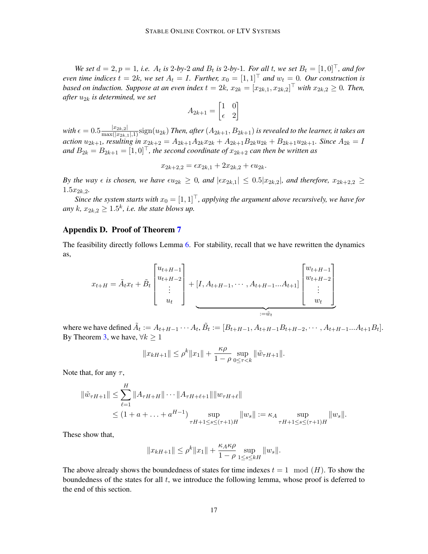*We set*  $d = 2, p = 1$ , *i.e.*  $A_t$  *is* 2*-by-*2 *and*  $B_t$  *is* 2*-by-*1*. For all t, we set*  $B_t = [1, 0]^T$ *, and for even time indices*  $t = 2k$ *, we set*  $A_t = I$ *. Further,*  $x_0 = [1, 1]^\top$  *and*  $w_t = 0$ *. Our construction is based on induction. Suppose at an even index*  $t = 2k$ ,  $x_{2k} = [x_{2k,1}, x_{2k,2}]^\top$  with  $x_{2k,2} \ge 0$ . Then, *after* u2<sup>k</sup> *is determined, we set*

$$
A_{2k+1} = \begin{bmatrix} 1 & 0 \\ \epsilon & 2 \end{bmatrix}
$$

with  $\epsilon=0.5\frac{|x_{2k,2}|}{\max(|x_{2k,1}|,1)}$ sign $(u_{2k})$  *Then, after*  $(A_{2k+1},B_{2k+1})$  *is revealed to the learner, it takes an action*  $u_{2k+1}$ *, resulting in*  $x_{2k+2} = A_{2k+1}A_{2k}x_{2k} + A_{2k+1}B_{2k}u_{2k} + B_{2k+1}u_{2k+1}$ *. Since*  $A_{2k} = I$ *and*  $B_{2k} = B_{2k+1} = [1, 0]^T$ , the second coordinate of  $x_{2k+2}$  can then be written as

$$
x_{2k+2,2} = \epsilon x_{2k,1} + 2x_{2k,2} + \epsilon u_{2k}.
$$

*By the way*  $\epsilon$  *is chosen, we have*  $\epsilon u_{2k} \geq 0$ *, and*  $|\epsilon x_{2k,1}| \leq 0.5|x_{2k,2}|$ *, and therefore,*  $x_{2k+2,2} \geq 0$  $1.5x_{2k,2}$ 

*Since the system starts with*  $x_0 = [1, 1]^T$ , applying the argument above recursively, we have for any  $k$ ,  $x_{2k,2} \geq 1.5^k$ , *i.e. the state blows up.* 

## <span id="page-16-0"></span>Appendix D. Proof of Theorem [7](#page-6-2)

The feasibility directly follows Lemma [6.](#page-5-7) For stability, recall that we have rewritten the dynamics as,

$$
x_{t+H} = \tilde{A}_t x_t + \tilde{B}_t \begin{bmatrix} u_{t+H-1} \\ u_{t+H-2} \\ \vdots \\ u_t \end{bmatrix} + [I, A_{t+H-1}, \cdots, A_{t+H-1} \cdots A_{t+1}] \begin{bmatrix} w_{t+H-1} \\ w_{t+H-2} \\ \vdots \\ w_t \end{bmatrix}
$$

where we have defined  $\tilde{A}_t := A_{t+H-1} \cdots A_t$ ,  $\tilde{B}_t := [B_{t+H-1}, A_{t+H-1} B_{t+H-2}, \cdots, A_{t+H-1} \cdots A_{t+1} B_t].$ By Theorem [3,](#page-5-5) we have,  $\forall k \geq 1$ 

$$
||x_{kH+1}|| \le \rho^k ||x_1|| + \frac{\kappa \rho}{1 - \rho} \sup_{0 \le \tau < k} ||\tilde{w}_{\tau H+1}||.
$$

Note that, for any  $\tau$ ,

$$
\|\tilde{w}_{\tau H+1}\| \leq \sum_{\ell=1}^{H} \|A_{\tau H+H}\| \cdots \|A_{\tau H+\ell+1}\| \|w_{\tau H+\ell}\| \leq (1+a+\ldots+a^{H-1}) \sup_{\tau H+1 \leq s \leq (\tau+1)H} \|w_s\| := \kappa_A \sup_{\tau H+1 \leq s \leq (\tau+1)H} \|w_s\|.
$$

These show that,

<span id="page-16-1"></span>
$$
||x_{kH+1}|| \le \rho^k ||x_1|| + \frac{\kappa_A \kappa_\rho}{1 - \rho} \sup_{1 \le s \le kH} ||w_s||.
$$

The above already shows the boundedness of states for time indexes  $t = 1 \mod(H)$ . To show the boundedness of the states for all  $t$ , we introduce the following lemma, whose proof is deferred to the end of this section.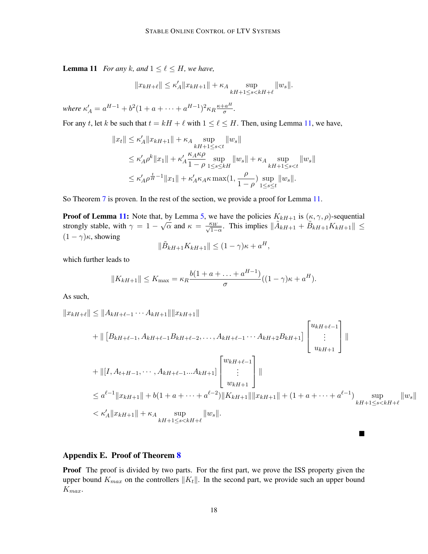**Lemma 11** *For any k*, and  $1 \leq \ell \leq H$ , we have,

$$
||x_{kH+\ell}|| \le \kappa'_A ||x_{kH+1}|| + \kappa_A \sup_{kH+1 \le s < kH+\ell} ||w_s||.
$$

where  $\kappa'_{A} = a^{H-1} + b^2(1 + a + \cdots + a^{H-1})^2 \kappa_R \frac{\kappa + a^H}{\sigma}$  $\frac{a^{\prime\prime}}{\sigma}$ .

For any t, let k be such that  $t = kH + \ell$  with  $1 \leq \ell \leq H$ . Then, using Lemma [11,](#page-16-1) we have,

$$
||x_t|| \le \kappa'_A ||x_{kH+1}|| + \kappa_A \sup_{kH+1 \le s < t} ||w_s||
$$
  
\n
$$
\le \kappa'_A \rho^k ||x_1|| + \kappa'_A \frac{\kappa_A \kappa \rho}{1 - \rho} \sup_{1 \le s \le kH} ||w_s|| + \kappa_A \sup_{kH+1 \le s < t} ||w_s||
$$
  
\n
$$
\le \kappa'_A \rho^{\frac{t}{H}-1} ||x_1|| + \kappa'_A \kappa_A \kappa \max(1, \frac{\rho}{1 - \rho}) \sup_{1 \le s \le t} ||w_s||.
$$

So Theorem [7](#page-6-2) is proven. In the rest of the section, we provide a proof for Lemma [11.](#page-16-1)

**Proof of Lemma [11:](#page-16-1)** Note that, by Lemma [5,](#page-5-6) we have the policies  $K_{k+1}$  is  $(\kappa, \gamma, \rho)$ -sequential strongly stable, with  $\gamma = 1 - \sqrt{\alpha}$  and  $\kappa = \frac{\kappa_W}{\sqrt{1-\alpha}}$ . This implies  $\|\tilde{A}_{kH+1} + \tilde{B}_{kH+1}K_{kH+1}\| \leq$  $(1 - \gamma)\kappa$ , showing

$$
\|\tilde{B}_{kH+1}K_{kH+1}\| \le (1-\gamma)\kappa + a^H,
$$

which further leads to

$$
||K_{kH+1}|| \le K_{\max} = \kappa_R \frac{b(1 + a + \dots + a^{H-1})}{\sigma}((1 - \gamma)\kappa + a^H).
$$

As such,

$$
||x_{kH+\ell}|| \le ||A_{kH+\ell-1} \cdots A_{kH+1}|| ||x_{kH+1}||
$$
  
+  $|| [B_{kH+\ell-1}, A_{kH+\ell-1} B_{kH+\ell-2}, \dots, A_{kH+\ell-1} \cdots A_{kH+2} B_{kH+1}] \begin{bmatrix} u_{kH+\ell-1} \\ \vdots \\ u_{kH+1} \end{bmatrix} ||$   
+  $|| [I, A_{t+H-1}, \dots, A_{kH+\ell-1} \cdots A_{kH+1}]] \begin{bmatrix} w_{kH+\ell-1} \\ \vdots \\ w_{kH+1} \end{bmatrix} ||$   
 $\le a^{\ell-1} ||x_{kH+1}|| + b(1 + a + \cdots + a^{\ell-2}) ||K_{kH+1}|| ||x_{kH+1}|| + (1 + a + \cdots + a^{\ell-1}) \sup_{kH+1 \le s < kH+\ell} ||w_s||$   
 $< \kappa'_A ||x_{kH+1}|| + \kappa_A \sup_{kH+1 \le s < kH+\ell} ||w_s||.$ 

 $\blacksquare$ 

# <span id="page-17-0"></span>Appendix E. Proof of Theorem [8](#page-7-2)

**Proof** The proof is divided by two parts. For the first part, we prove the ISS property given the upper bound  $K_{max}$  on the controllers  $||K_t||$ . In the second part, we provide such an upper bound  $K_{max}$ .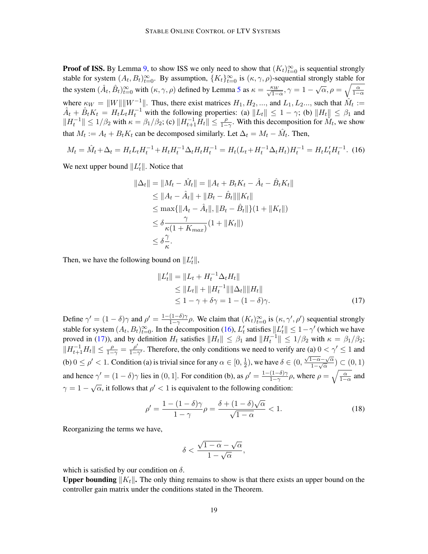**Proof of ISS.** By Lemma [9,](#page-12-2) to show ISS we only need to show that  $(K_t)_{t=0}^{\infty}$  is sequential strongly stable for system  $(A_t, B_t)_{t=0}^{\infty}$ . By assumption,  $\{K_t\}_{t=0}^{\infty}$  is  $(\kappa, \gamma, \rho)$ -sequential strongly stable for the system  $(\hat{A}_t, \hat{B}_t)_{t=0}^{\infty}$  with  $(\kappa, \gamma, \rho)$  defined by Lemma [5](#page-5-6) as  $\kappa = \frac{\kappa_W}{\sqrt{1-\alpha}}, \gamma = 1 - \sqrt{\alpha}, \rho = \sqrt{\frac{\alpha}{1-\alpha}}$ where  $\kappa_W = ||W|| ||W^{-1}||$ . Thus, there exist matrices  $H_1, H_2, \dots$ , and  $L_1, L_2, \dots$ , such that  $\hat{M}_t :=$  $\hat{A}_t + \hat{B}_t K_t = H_t L_t H_t^{-1}$  with the following properties: (a)  $||L_t|| \le 1 - \gamma$ ; (b)  $||H_t|| \le \beta_1$  and  $||H_t^{-1}|| \leq 1/\beta_2$  with  $\kappa = \beta_1/\beta_2$ ; (c)  $||H_{t+1}^{-1}H_t|| \leq \frac{\rho}{1-\gamma}$ . With this decomposition for  $\hat{M}_t$ , we show that  $M_t := A_t + B_t K_t$  can be decomposed similarly. Let  $\Delta_t = M_t - \hat{M}_t$ . Then,

<span id="page-18-0"></span>
$$
M_t = \hat{M}_t + \Delta_t = H_t L_t H_t^{-1} + H_t H_t^{-1} \Delta_t H_t H_t^{-1} = H_t (L_t + H_t^{-1} \Delta_t H_t) H_t^{-1} = H_t L_t' H_t^{-1}.
$$
 (16)

We next upper bound  $||L_t'||$ . Notice that

$$
\|\Delta_t\| = \|M_t - \hat{M}_t\| = \|A_t + B_t K_t - \hat{A}_t - \hat{B}_t K_t\|
$$
  
\n
$$
\le \|A_t - \hat{A}_t\| + \|B_t - \hat{B}_t\| \|K_t\|
$$
  
\n
$$
\le \max\{\|A_t - \hat{A}_t\|, \|B_t - \hat{B}_t\|\}(1 + \|K_t\|)
$$
  
\n
$$
\le \delta \frac{\gamma}{\kappa(1 + K_{max})}(1 + \|K_t\|)
$$
  
\n
$$
\le \delta \frac{\gamma}{\kappa}.
$$

Then, we have the following bound on  $||L'_t||$ ,

<span id="page-18-1"></span>
$$
||L'_{t}|| = ||L_{t} + H_{t}^{-1} \Delta_{t} H_{t}||
$$
  
\n
$$
\leq ||L_{t}|| + ||H_{t}^{-1}|| ||\Delta_{t}|| ||H_{t}||
$$
  
\n
$$
\leq 1 - \gamma + \delta \gamma = 1 - (1 - \delta)\gamma.
$$
 (17)

Define  $\gamma' = (1 - \delta)\gamma$  and  $\rho' = \frac{1 - (1 - \delta)\gamma}{1 - \gamma}$  $\frac{(1-\delta)\gamma}{1-\gamma}\rho$ . We claim that  $(K_t)_{t=0}^{\infty}$  is  $(\kappa, \gamma', \rho')$  sequential strongly stable for system  $(A_t, B_t)_{t=0}^{\infty}$ . In the decomposition [\(16\)](#page-18-0),  $L'_t$  satisfies  $||L'_t|| \leq 1 - \gamma'$  (which we have proved in [\(17\)](#page-18-1)), and by definition  $H_t$  satisfies  $||H_t|| \leq \beta_1$  and  $||H_t^{-1}|| \leq 1/\beta_2$  with  $\kappa = \beta_1/\beta_2$ ;  $||H_{t+1}^{-1}H_t|| \leq \frac{\rho}{1-\gamma} = \frac{\rho'}{1-\gamma}$  $\frac{\rho'}{1-\gamma'}$ . Therefore, the only conditions we need to verify are (a)  $0 < \gamma' \le 1$  and (b)  $0 \le \rho' < 1$ . Condition (a) is trivial since for any  $\alpha \in [0, \frac{1}{2}]$  $(\frac{1}{2})$ , we have  $\delta \in (0, \frac{\sqrt{1-\alpha}-\sqrt{\alpha}}{1-\sqrt{\alpha}})$  $\frac{1-\alpha-\sqrt{\alpha}}{1-\sqrt{\alpha}}$ ) ⊂  $(0,1)$ and hence  $\gamma' = (1 - \delta)\gamma$  lies in  $(0, 1]$ . For condition (b), as  $\rho' = \frac{1 - (1 - \delta)\gamma}{1 - \gamma}$  $\frac{(1-\delta)\gamma}{1-\gamma}\rho$ , where  $\rho = \sqrt{\frac{\alpha}{1-\alpha}}$  and  $\gamma = 1 - \sqrt{\alpha}$ , it follows that  $\rho' < 1$  is equivalent to the following condition:

$$
\rho' = \frac{1 - (1 - \delta)\gamma}{1 - \gamma} \rho = \frac{\delta + (1 - \delta)\sqrt{\alpha}}{\sqrt{1 - \alpha}} < 1. \tag{18}
$$

Reorganizing the terms we have,

$$
\delta<\frac{\sqrt{1-\alpha}-\sqrt{\alpha}}{1-\sqrt{\alpha}},
$$

which is satisfied by our condition on  $\delta$ .

**Upper bounding**  $|K_t|$ . The only thing remains to show is that there exists an upper bound on the controller gain matrix under the conditions stated in the Theorem.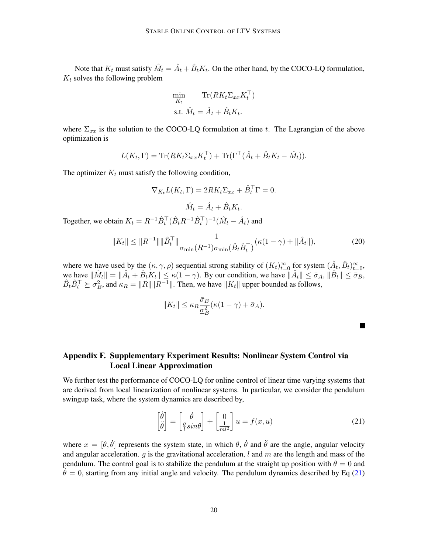Note that  $K_t$  must satisfy  $\hat{M}_t = \hat{A}_t + \hat{B}_t K_t$ . On the other hand, by the COCO-LQ formulation,  $K_t$  solves the following problem

$$
\min_{K_t} \text{Tr}(RK_t \Sigma_{xx} K_t^{\top})
$$
  
s.t.  $\hat{M}_t = \hat{A}_t + \hat{B}_t K_t$ .

where  $\Sigma_{xx}$  is the solution to the COCO-LQ formulation at time t. The Lagrangian of the above optimization is

$$
L(K_t, \Gamma) = \text{Tr}(RK_t \Sigma_{xx} K_t^{\top}) + \text{Tr}(\Gamma^{\top}(\hat{A}_t + \hat{B}_t K_t - \hat{M}_t)).
$$

The optimizer  $K_t$  must satisfy the following condition,

$$
\nabla_{K_t} L(K_t, \Gamma) = 2R K_t \Sigma_{xx} + \hat{B}_t^{\top} \Gamma = 0.
$$

$$
\hat{M}_t = \hat{A}_t + \hat{B}_t K_t.
$$

Together, we obtain  $K_t = R^{-1} \hat{B}_t^{\top} (\hat{B}_t R^{-1} \hat{B}_t^{\top})^{-1} (\hat{M}_t - \hat{A}_t)$  and

$$
||K_t|| \leq ||R^{-1}|| ||\hat{B}_t^\top|| \frac{1}{\sigma_{\min}(R^{-1})\sigma_{\min}(\hat{B}_t \hat{B}_t^\top)} (\kappa(1-\gamma) + ||\hat{A}_t||),
$$
\n(20)

where we have used by the  $(\kappa, \gamma, \rho)$  sequential strong stability of  $(K_t)_{t=0}^\infty$  for system  $(\hat{A}_t, \hat{B}_t)_{t=0}^\infty$ , we have  $\|\hat{M}_t\| = \|\hat{A}_t + \hat{B}_t K_t\| \le \kappa(1 - \gamma)$ . By our condition, we have  $\|\hat{A}_t\| \le \bar{\sigma}_A$ ,  $\|\hat{B}_t\| \le \bar{\sigma}_B$ ,  $\hat{B}_t \hat{B}_t^{\top} \succeq \underline{\sigma}_B^2$ , and  $\kappa_R = ||R|| ||R^{-1}||$ . Then, we have  $||K_t||$  upper bounded as follows,

$$
||K_t|| \le \kappa_R \frac{\bar{\sigma}_B}{\underline{\sigma}_B^2} (\kappa (1 - \gamma) + \bar{\sigma}_A).
$$

 $\overline{\phantom{a}}$ 

# <span id="page-19-0"></span>Appendix F. Supplementary Experiment Results: Nonlinear System Control via Local Linear Approximation

We further test the performance of COCO-LQ for online control of linear time varying systems that are derived from local linearization of nonlinear systems. In particular, we consider the pendulum swingup task, where the system dynamics are described by,

<span id="page-19-1"></span>
$$
\begin{bmatrix} \dot{\theta} \\ \ddot{\theta} \end{bmatrix} = \begin{bmatrix} \dot{\theta} \\ \frac{q}{l}sin\theta \end{bmatrix} + \begin{bmatrix} 0 \\ \frac{1}{ml^2} \end{bmatrix} u = f(x, u)
$$
\n(21)

where  $x = [\theta, \dot{\theta}]$  represents the system state, in which  $\theta$ ,  $\dot{\theta}$  and  $\ddot{\theta}$  are the angle, angular velocity and angular acceleration.  $q$  is the gravitational acceleration, l and m are the length and mass of the pendulum. The control goal is to stabilize the pendulum at the straight up position with  $\theta = 0$  and  $\dot{\theta} = 0$ , starting from any initial angle and velocity. The pendulum dynamics described by Eq [\(21\)](#page-19-1)